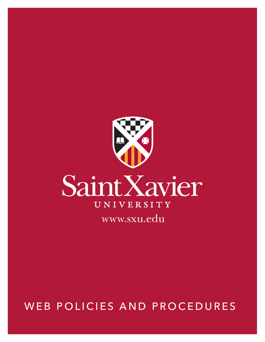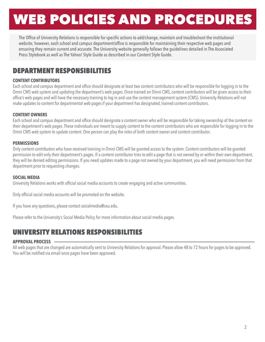The Office of University Relations is responsible for specific actions to add/change, maintain and troubleshoot the institutional website; however, each school and campus department/office is responsible for maintaining their respective web pages and ensuring they remain current and accurate. The University website generally follows the guidelines detailed in The Associated Press Stylebook as well as The Yahoo! Style Guide as described in our Content Style Guide.

### DEPARTMENT RESPONSIBILITIES

#### **CONTENT CONTRIBUTORS**

Each school and campus department and office should designate at least two content contributors who will be responsible for logging in to the Omni CMS web system and updating the department's web pages. Once trained on Omni CMS, content contributors will be given access to their office's web pages and will have the necessary training to log in and use the content management system (CMS). University Relations will not make updates to content for departmental web pages if your department has designated, trained content contributors.

#### **CONTENT OWNERS**

Each school and campus department and office should designate a content owner who will be responsible for taking ownership of the content on their department's web pages. These individuals are meant to supply content to the content contributors who are responsible for logging in to the Omni CMS web system to update content. One person can play the roles of both content owner and content contributor.

#### **PERMISSIONS**

Only content contributors who have received training in Omni CMS will be granted access to the system. Content contributors will be granted permission to edit only their department's pages. If a content contributor tries to edit a page that is not owned by or within their own department, they will be denied editing permissions. If you need updates made to a page not owned by your department, you will need permission from that department prior to requesting changes.

#### **SOCIAL MEDIA**

University Relations works with official social media accounts to create engaging and active communities.

Only official social media accounts will be promoted on the website.

If you have any questions, please contact socialmedia@sxu.edu.

Please refer to the University's Social Media Policy for more information about social media pages.

## UNIVERSITY RELATIONS RESPONSIBILITIES

#### **APPROVAL PROCESS**

All web pages that are changed are automatically sent to University Relations for approval. Please allow 48 to 72 hours for pages to be approved. You will be notified via email once pages have been approved.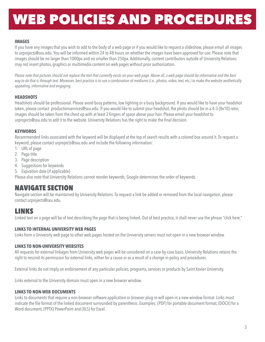#### **IMAGES**

If you have any images that you wish to add to the body of a web page or if you would like to request a slideshow, please email all images to urprojects@sxu.edu. You will be informed within 24 to 48 hours on whether the images have been approved for use. Please note that images should be no larger than 1000px and no smaller than 250px. Additionally, content contributors outside of University Relations may not insert photos, graphics or multimedia content on web pages without prior authorization.

*Please note that pictures should not replace the text that currently exists on your web page. Above all, a web page should be informative and the best way to do that is through text. Moreover, best practice is to use a combination of mediums (i.e., photos, video, text, etc.) to make the website aesthetically appealing, informative and engaging.*

#### **HEADSHOTS**

Headshots should be professional. Please avoid busy patterns, low lighting or a busy background. If you would like to have your headshot taken, please contact productionservices@sxu.edu. If you would like to submit your headshot, the photo should be in a 4:3 (8x10) ratio; images should be taken from the chest up with at least 3 fingers of space above your hair. Please email your headshot to urprojects@sxu.edu to add it to the website. University Relations has the right to make the final decision.

#### **KEYWORDS**

Recommended links associated with the keyword will be displayed at the top of search results with a colored box around it. To request a keyword, please contact urprojects@sxu.edu and include the following information:

- 1. URL of page
- 2. Page title
- 3. Page description
- 4. Suggestions for keywords
- 5. Expiration date (if applicable)

Please also note that University Relations cannot reorder keywords; Google determines the order of keywords.

## NAVIGATE SECTION

Navigate section will be maintained by University Relations. To request a link be added or removed from the local navigation, please contact urprojects@sxu.edu.

## LINKS

Linked text on a page will be of text describing the page that is being linked. Out of best practice, it shall never use the phrase "click here."

#### **LINKS TO INTERNAL UNIVERSITY WEB PAGES**

Links from a University web page to other web pages hosted on the University servers must not open in a new browser window.

#### **LINKS TO NON-UNIVERSITY WEBSITES**

All requests for external linkages from University web pages will be considered on a case-by-case basis. University Relations retains the right to rescind its permission for external links, either for a cause or as a result of a change in policy and procedures.

External links do not imply an endorsement of any particular policies, programs, services or products by Saint Xavier University.

Links external to the University domain must open in a new browser window.

#### **LINKS TO NON-WEB DOCUMENTS**

Links to documents that require a non-browser software application or browser plug-in will open in a new window format. Links must indicate the file format of the linked document surrounded by parenthesis. Examples: (PDF) for portable document format, (DOCX) for a Word document, (PPTX) PowerPoint and (XLS) for Excel.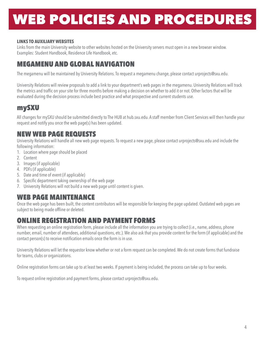#### **LINKS TO AUXILIARY WEBSITES**

Links from the main University website to other websites hosted on the University servers must open in a new browser window. Examples: Student Handbook, Residence Life Handbook, etc.

## MEGAMENU AND GLOBAL NAVIGATION

The megamenu will be maintained by University Relations. To request a megamenu change, please contact urprojects@sxu.edu.

University Relations will review proposals to add a link to your department's web pages in the megamenu. University Relations will track the metrics and traffic on your site for three months before making a decision on whether to add it or not. Other factors that will be evaluated during the decision process include best practice and what prospective and current students use.

### mySXU

All changes for mySXU should be submitted directly to The HUB at hub.sxu.edu. A staff member from Client Services will then handle your request and notify you once the web page(s) has been updated.

### NEW WEB PAGE REQUESTS

University Relations will handle all new web page requests. To request a new page, please contact urprojects@sxu.edu and include the following information:

- 1. Location where page should be placed
- 2. Content
- 3. Images (if applicable)
- 4. PDFs (if applicable)
- 5. Date and time of event (if applicable)
- 6. Specific department taking ownership of the web page
- 7. University Relations will not build a new web page until content is given.

## WEB PAGE MAINTENANCE

Once the web page has been built, the content contributors will be responsible for keeping the page updated. Outdated web pages are subject to being made offline or deleted.

## ONLINE REGISTRATION AND PAYMENT FORMS

When requesting an online registration form, please include all the information you are trying to collect (i.e., name, address, phone number, email, number of attendees, additional questions, etc.). We also ask that you provide content for the form (if applicable) and the contact person(s) to receive notification emails once the form is in use.

University Relations will let the requestor know whether or not a form request can be completed. We do not create forms that fundraise for teams, clubs or organizations.

Online registration forms can take up to at least two weeks. If payment is being included, the process can take up to four weeks.

To request online registration and payment forms, please contact urprojects@sxu.edu.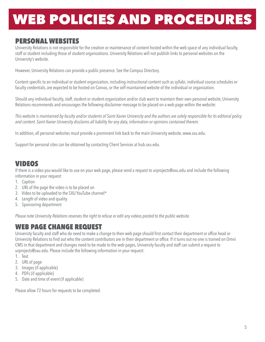## PERSONAL WEBSITES

University Relations is not responsible for the creation or maintenance of content hosted within the web space of any individual faculty, staff or student including those of student organizations. University Relations will not publish links to personal websites on the University's website.

However, University Relations can provide a public presence. See the Campus Directory.

Content specific to an individual or student organization, including instructional content such as syllabi, individual course schedules or faculty credentials, are expected to be hosted on Canvas, or the self-maintained website of the individual or organization.

Should any individual faculty, staff, student or student organization and/or club want to maintain their own personal website, University Relations recommends and encourages the following disclaimer message to be placed on a web page within the website:

*This website is maintained by faculty and/or students of Saint Xavier University and the authors are solely responsible for its editorial policy and content. Saint Xavier University disclaims all liability for any data, information or opinions contained therein.*

In addition, all personal websites must provide a prominent link back to the main University website, www.sxu.edu.

Support for personal sites can be obtained by contacting Client Services at hub.sxu.edu.

### VIDEOS

If there is a video you would like to use on your web page, please send a request to urprojects@sxu.edu and include the following information in your request:

- 1. Caption
- 2. URL of the page the video is to be placed on
- 3. Video to be uploaded to the SXU YouTube channel\*
- 4. Length of video and quality
- 5. Sponsoring department

*Please note University Relations reserves the right to refuse or edit any videos posted to the public website.*

### WEB PAGE CHANGE REQUEST

University faculty and staff who do need to make a change to their web page should first contact their department or office head or University Relations to find out who the content contributors are in their department or office. If it turns out no one is trained on Omni CMS in that department and changes need to be made to the web pages, University faculty and staff can submit a request to urprojects@sxu.edu. Please include the following information in your request:

- 1. Text
- 2. URL of page
- 3. Images (if applicable)
- 4. PDFs (if applicable)
- 5. Date and time of event (if applicable)

Please allow 72 hours for requests to be completed.